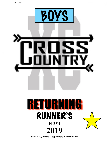

**Seniors 4, Juniors 2, Sophomore 0, Freshman 0**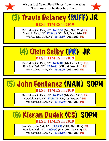

We use last **Years Best Times** from three sites. These may not be their best times.



### (3) Travis Delaney (SUFF) JR **BEST TIMES in 2019**

 Bowdoin Park, NY **17:01.10 (V.4, 3rd, Oct. 19th) PR**  Bear Mountain Park, NY **16:03.30 (2nd, Oct. 29th) PR** Van Cortland Park, NY **13:15.10 (Oct. 12th) PR**



Bear Mountain Park, NY **16:16.80 (4th, Oct. 29th) PR** Bowdoin Park, NY **17:10.00 (V.B, 1st Nov. 9th) PR** Van Cortland Park, NY **13:35.70 (Oct. 12th) PR**

# (5) John Fontanez (NAN) SOPH **BEST TIMES in 2019**

Bear Mountain Park, NY **16:17.40 (5th, Oct. 29th) PR** Bowdoin Park, NY **17:21.20 (V.B, 1st Nov. 9th) PR** Van Cortland Park, NY **13:43.20 (Oct. 12th) PR**

## (6) Kieran Dudek (CS) SOPH **BEST TIMES in 2019**

Bear Mountain Park, NY **17:03.70 (15th, Oct. 29th) PR** Bowdoin Park, NY **17:05.90 (V.A, 7th, Nov. 9th) PR** Van Cortland Park, NY **13:51.10 (Oct. 12th) PR**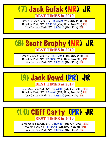# (7) Jack Gulak (NR) JR **BEST TIMES in 2019**

Bear Mountain Park, NY **16:34.90 (7th, Oct. 29th) PR** Bowdoin Park, NY **17:11.50 (V.A, 10th, Nov. 9th) PR** Van Cortland Park, NY **13:54.10 (Oct. 12th) PR**



Bear Mountain Park, NY **16:46.60 (10th, Oct. 29th) PR** Bowdoin Park, NY **17:28.30 (V.A, 18th, Nov. 9th) PR** Van Cortland Park, NY **13:52.20 (Oct. 12th) PR**



 Bear Mountain Park, NY **16:44.30 (9th, Oct. 29th) PR** Bowdoin Park, NY **17:44.00 (V.B, 10th, Nov. 9th) PR** Van Cortland Park, NY **13:52.70 (Oct. 12th) PR**

## (10) Cliff Carty (PR) JR **BEST TIMES in 2019**

Bear Mountain Park, NY **16:29.20 (6th, Oct. 29th) PR** Bowdoin Park, NY **17:34.90 (V.B, 8th, Nov. 9th) PR** Van Cortland Park, NY **13:53.60 (Oct. 12th) PR**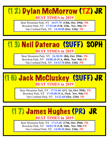## (12) Dylan McMorrow (TZ) JR **BEST TIMES in 2019**

Bear Mountain Park, NY **16:57.70 (14th, Oct. 29th) PR** Bowdoin Park, NY **17:53.60 (V.B, 12th, Nov. 9th) PR** Van Cortland Park, NY **14:10.90 (Oct. 12th) PR**

# (13) Neil Daterao (SUFF) SOPH **BEST TIMES in 2019**

Bear Mountain Park, NY **16:38.30 (8th, Oct. 29th) PR** Bowdoin Park, NY **18:08.20 (V.A, 40th, Nov. 9th) PR** Van Cortland Park, NY **14:13.70 (Oct. 12th) PR**



Bear Mountain Park, NY **17:21.60 (J.V. 1st, Oct. 29th) PR** Bowdoin Park, NY **17:55.00 (V.A, 33rd, Nov. 9th) PR** Van Cortland Park, NY **14:22.60 (Oct. 12th) PR**

### (17) James Hughes (PR) JR **BEST TIMES in 2019**

Bear Mountain Park, NY **17:13.40 (17th, Oct. 29th) PR** Bowdoin Park, NY **18:03.70 (V.B, 16th, Nov. 9th) PR** Van Cortland Park, NY **14:50.10 (Oct. 12th) PR**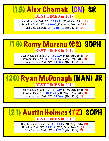# (18) Alex Chamak (CN) SR **BEST TIMES in 2019**

Bear Mountain Park, NY **17:19.00 (22nd, Oct. 29th) PR** Bowdoin Park, NY **18:10.00 (V.A, 44th, Nov. 9th) PR** Van Cortland Park, NY **14:14.10 (Oct. 12th) PR**



Bear Mountain Park, NY **18:20.70 (44th, Oct. 29th) PR** Bowdoin Park, NY **17:59.30 (V.2, 26th, Oct. 19th) PR** Van Cortland Park, NY **14:20.50 (Oct. 12th) PR**



Bear Mountain Park, NY **16:49.10 (11th, Oct. 29th) PR** Bowdoin Park, NY **18:17.40 (V.B, 22nd, Nov. 9th) PR** Van Cortland Park, NY **14:30.60 (Oct. 12th) PR**

### (21) Austin Holmes (TZ) SOPH **BEST TIMES in 2019**

Bear Mountain Park, NY **17:14.00 (13th, Sept. 6th) PR** Bowdoin Park, NY **18:21.30 (V.B, 24th, Nov. 9th) PR** Van Cortland Park, NY **14:07.10 (Oct. 12th) PR**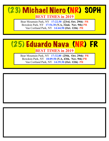## (23) Michael Niero (NR) SOPH **BEST TIMES in 2019**

Bear Mountain Park, NY **17:22.50 (23rd, Oct. 29th) PR** Bowdoin Park, NY **17:54.30 (V.A, 32nd, Nov. 9th) PR** Van Cortland Park, NY **14:44.50 (Oct. 12th) PR**



Bear Mountain Park, NY **17:32.80 (25th, Oct. 29th) PR** Bowdoin Park, NY **18:09.50 (V.A, 43th, Nov. 9th) PR** Van Cortland Park, NY **14:39.30 (Oct. 12th) PR**